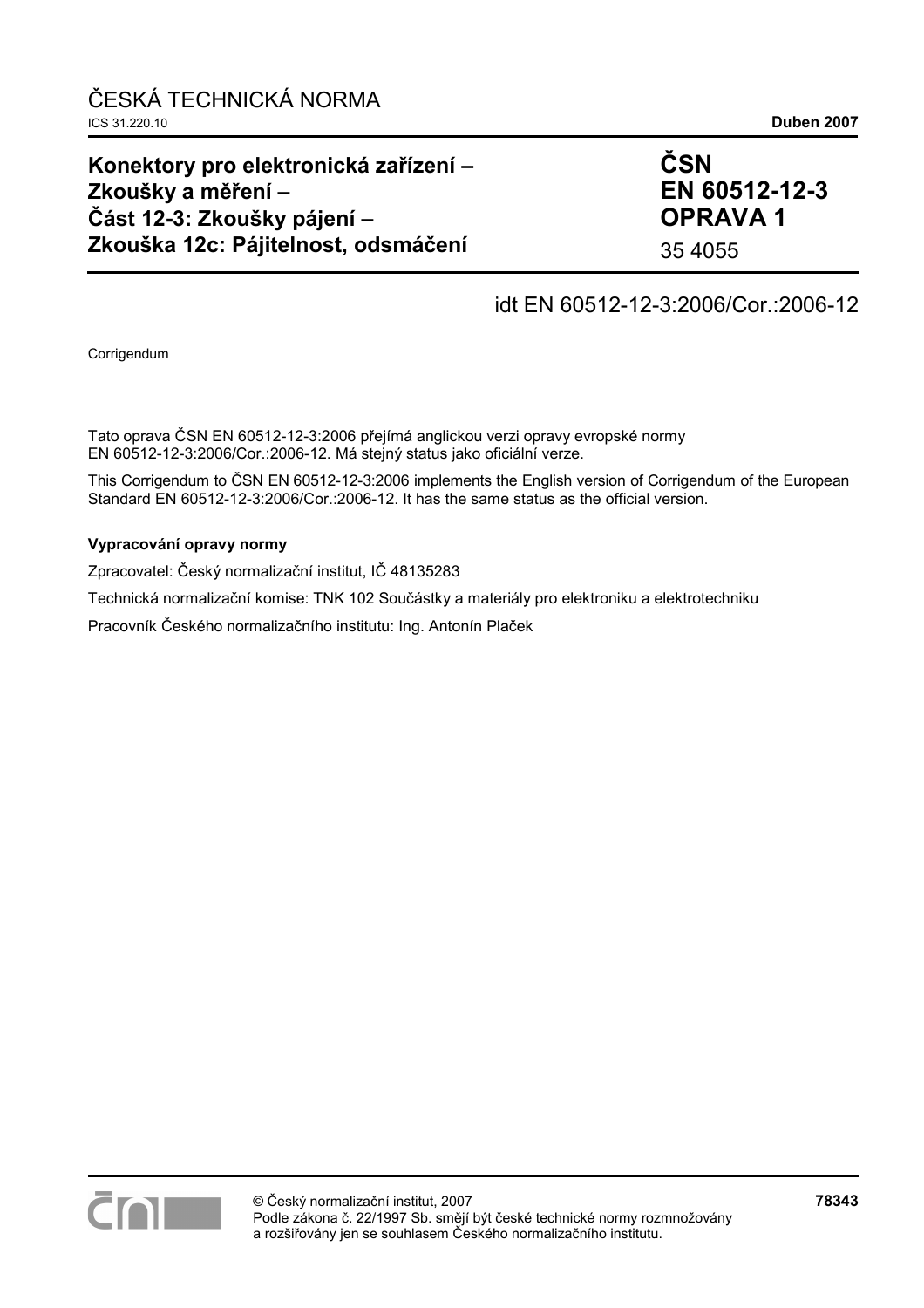### **Konektory pro elektronická zařízení – Zkoušky a měření – Část 12-3: Zkoušky pájení – Zkouška 12c: Pájitelnost, odsmáčení**

**ČSN EN 60512-12-3 OPRAVA 1** 

35 4055

# idt EN 60512-12-3:2006/Cor.:2006-12

Corrigendum

Tato oprava ČSN EN 60512-12-3:2006 přejímá anglickou verzi opravy evropské normy EN 60512-12-3:2006/Cor.:2006-12. Má stejný status jako oficiální verze.

This Corrigendum to ČSN EN 60512-12-3:2006 implements the English version of Corrigendum of the European Standard EN 60512-12-3:2006/Cor.:2006-12. It has the same status as the official version.

#### **Vypracování opravy normy**

Zpracovatel: Český normalizační institut, IČ 48135283

Technická normalizační komise: TNK 102 Součástky a materiály pro elektroniku a elektrotechniku

Pracovník Českého normalizačního institutu: Ing. Antonín Plaček

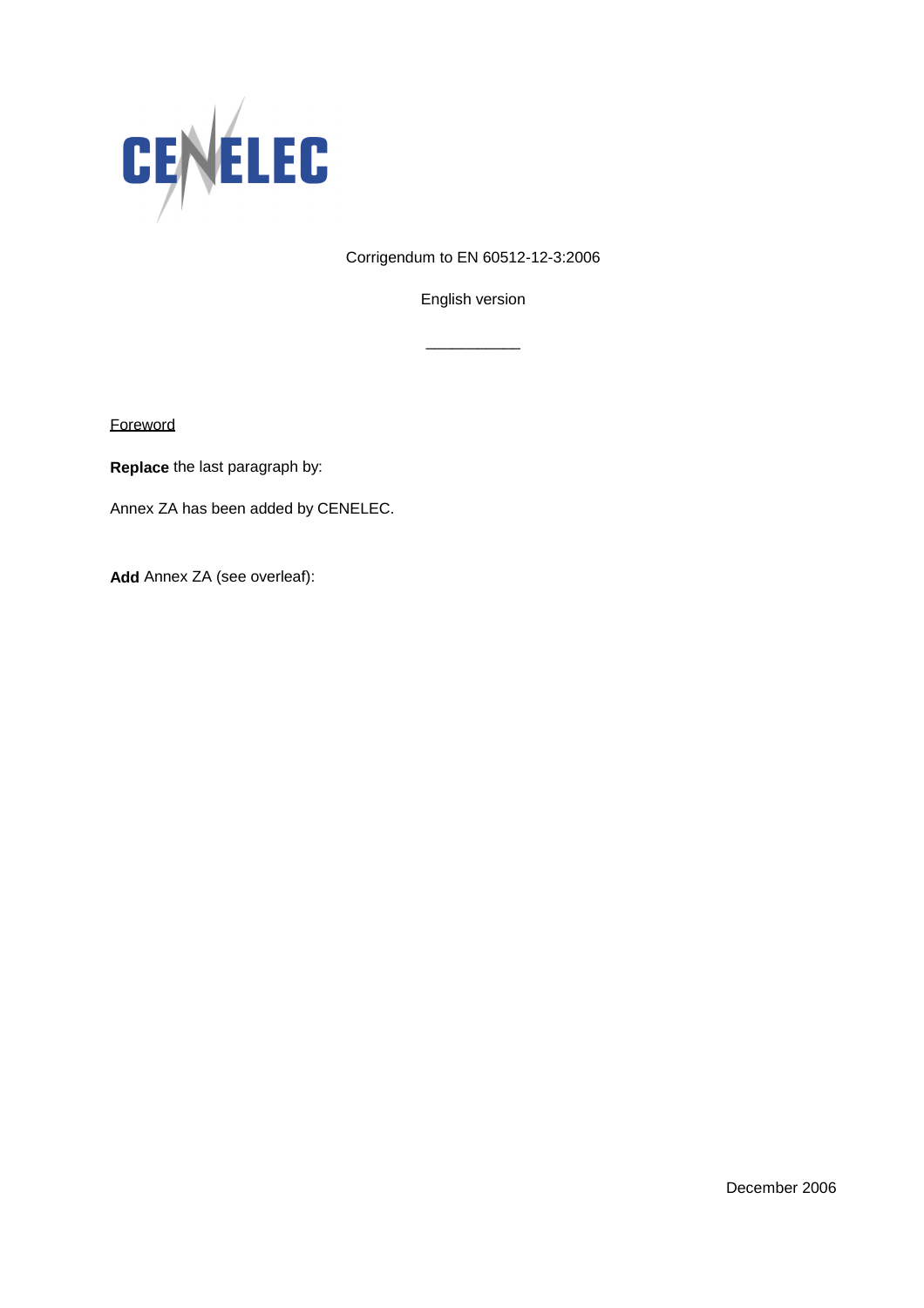

Corrigendum to EN 60512-12-3:2006

English version

\_\_\_\_\_\_\_\_\_\_\_

**Foreword** 

**Replace** the last paragraph by:

Annex ZA has been added by CENELEC.

**Add** Annex ZA (see overleaf):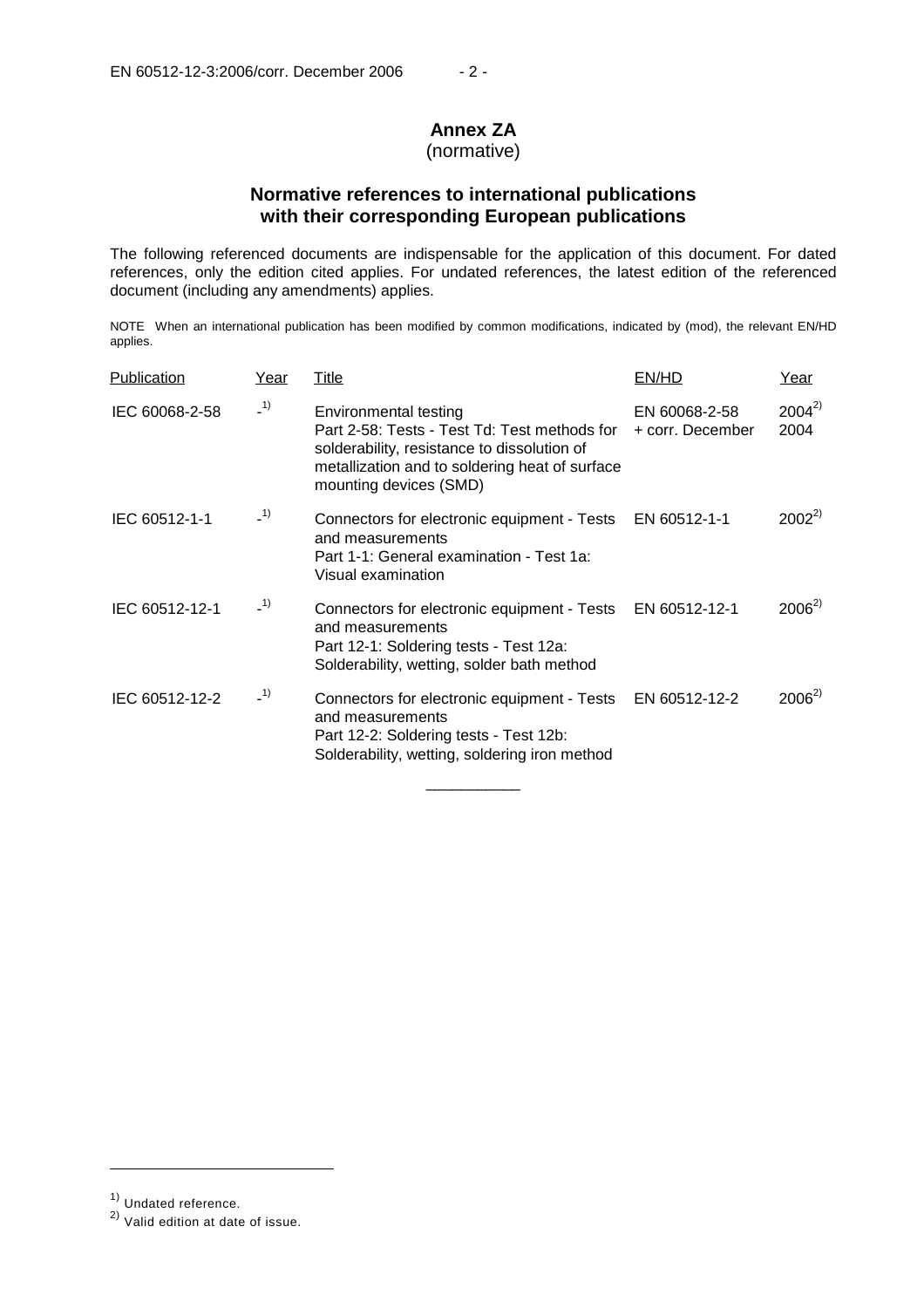# **Annex ZA**

### (normative)

### **Normative references to international publications with their corresponding European publications**

The following referenced documents are indispensable for the application of this document. For dated references, only the edition cited applies. For undated references, the latest edition of the referenced document (including any amendments) applies.

NOTE When an international publication has been modified by common modifications, indicated by (mod), the relevant EN/HD applies.

| Publication    | Year  | Title                                                                                                                                                                                            | EN/HD                             | Year               |
|----------------|-------|--------------------------------------------------------------------------------------------------------------------------------------------------------------------------------------------------|-----------------------------------|--------------------|
| IEC 60068-2-58 | $-1)$ | Environmental testing<br>Part 2-58: Tests - Test Td: Test methods for<br>solderability, resistance to dissolution of<br>metallization and to soldering heat of surface<br>mounting devices (SMD) | EN 60068-2-58<br>+ corr. December | $2004^{2}$<br>2004 |
| IEC 60512-1-1  | $-1)$ | Connectors for electronic equipment - Tests EN 60512-1-1<br>and measurements<br>Part 1-1: General examination - Test 1a:<br>Visual examination                                                   |                                   | $2002^{2}$         |
| IEC 60512-12-1 | $-1)$ | Connectors for electronic equipment - Tests<br>and measurements<br>Part 12-1: Soldering tests - Test 12a:<br>Solderability, wetting, solder bath method                                          | EN 60512-12-1                     | $2006^{2}$         |
| IEC 60512-12-2 | $-1)$ | Connectors for electronic equipment - Tests<br>and measurements<br>Part 12-2: Soldering tests - Test 12b:<br>Solderability, wetting, soldering iron method                                       | EN 60512-12-2                     | $2006^{2}$         |

\_\_\_\_\_\_\_\_\_\_\_

j

<sup>1)</sup> Undated reference.

<sup>2)</sup> Valid edition at date of issue.